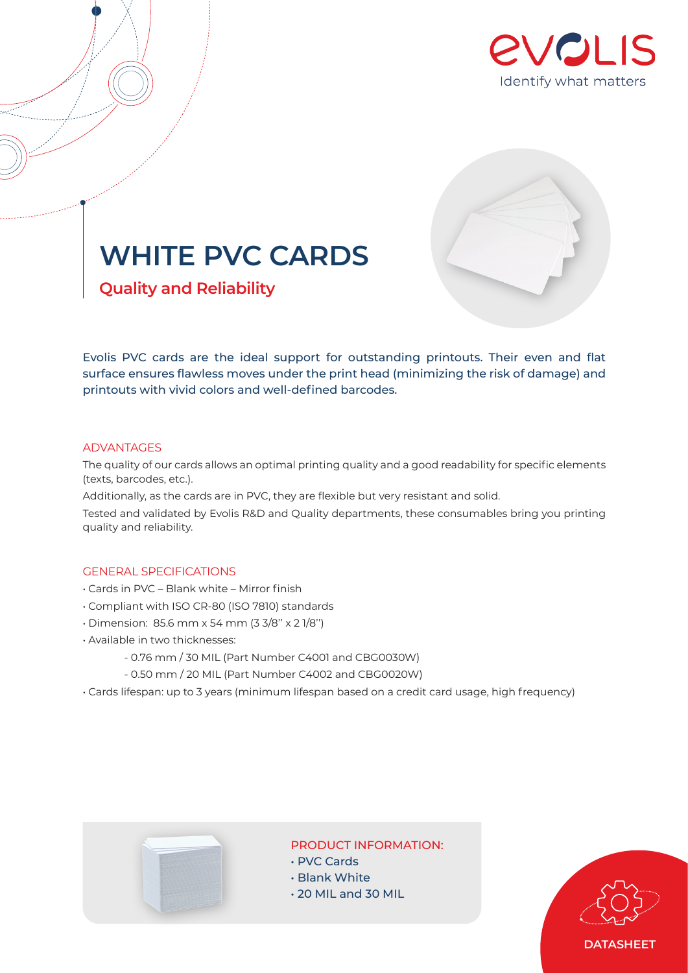



# **WHITE PVC CARDS**

**Quality and Reliability**

Evolis PVC cards are the ideal support for outstanding printouts. Their even and flat surface ensures flawless moves under the print head (minimizing the risk of damage) and printouts with vivid colors and well-defined barcodes.

### ADVANTAGES

The quality of our cards allows an optimal printing quality and a good readability for specific elements (texts, barcodes, etc.).

Additionally, as the cards are in PVC, they are flexible but very resistant and solid.

Tested and validated by Evolis R&D and Quality departments, these consumables bring you printing quality and reliability.

# GENERAL SPECIFICATIONS

- Cards in PVC Blank white Mirror finish
- Compliant with ISO CR-80 (ISO 7810) standards
- Dimension: 85.6 mm x 54 mm (3 3/8'' x 2 1/8'')
- Available in two thicknesses:
	- 0.76 mm / 30 MIL (Part Number C4001 and CBG0030W)
	- 0.50 mm / 20 MIL (Part Number C4002 and CBG0020W)
- Cards lifespan: up to 3 years (minimum lifespan based on a credit card usage, high frequency)



## PRODUCT INFORMATION:

- PVC Cards
- Blank White
- 20 MIL and 30 MIL